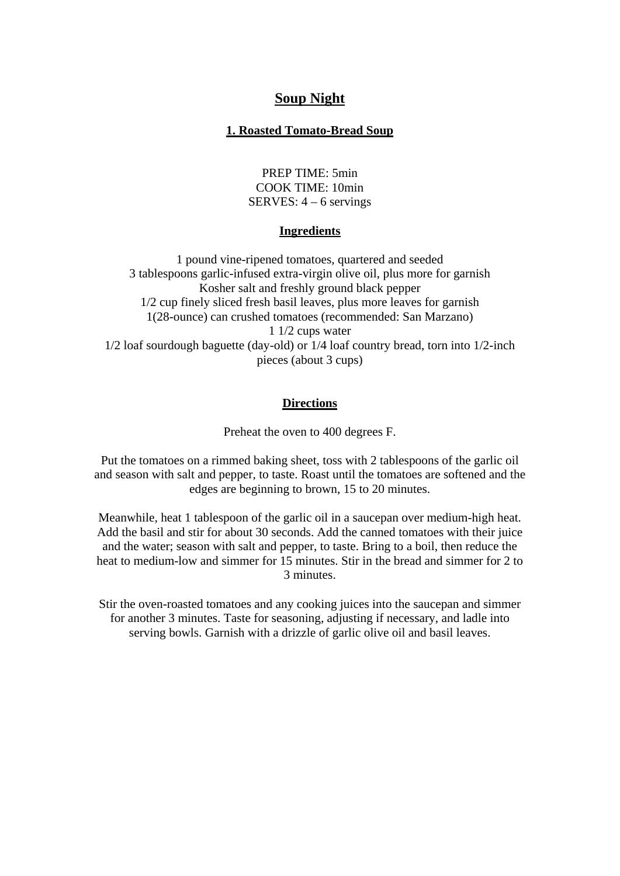# **Soup Night**

# **1. Roasted Tomato-Bread Soup**

PREP TIME: 5min COOK TIME: 10min SERVES: 4 – 6 servings

# **Ingredients**

1 pound vine-ripened tomatoes, quartered and seeded 3 tablespoons garlic-infused extra-virgin olive oil, plus more for garnish Kosher salt and freshly ground black pepper 1/2 cup finely sliced fresh basil leaves, plus more leaves for garnish 1(28-ounce) can crushed tomatoes (recommended: San Marzano) 1 1/2 cups water 1/2 loaf sourdough baguette (day-old) or 1/4 loaf country bread, torn into 1/2-inch pieces (about 3 cups)

## **Directions**

Preheat the oven to 400 degrees F.

Put the tomatoes on a rimmed baking sheet, toss with 2 tablespoons of the garlic oil and season with salt and pepper, to taste. Roast until the tomatoes are softened and the edges are beginning to brown, 15 to 20 minutes.

Meanwhile, heat 1 tablespoon of the garlic oil in a saucepan over medium-high heat. Add the basil and stir for about 30 seconds. Add the canned tomatoes with their juice and the water; season with salt and pepper, to taste. Bring to a boil, then reduce the heat to medium-low and simmer for 15 minutes. Stir in the bread and simmer for 2 to 3 minutes.

Stir the oven-roasted tomatoes and any cooking juices into the saucepan and simmer for another 3 minutes. Taste for seasoning, adjusting if necessary, and ladle into serving bowls. Garnish with a drizzle of garlic olive oil and basil leaves.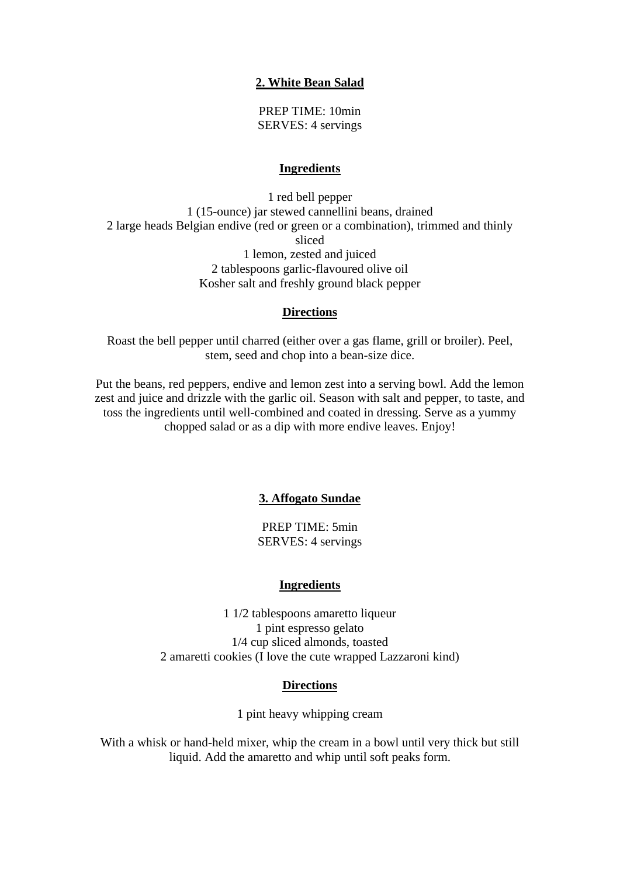# **2. White Bean Salad**

PREP TIME: 10min SERVES: 4 servings

## **Ingredients**

1 red bell pepper 1 (15-ounce) jar stewed cannellini beans, drained 2 large heads Belgian endive (red or green or a combination), trimmed and thinly sliced 1 lemon, zested and juiced 2 tablespoons garlic-flavoured olive oil Kosher salt and freshly ground black pepper

## **Directions**

Roast the bell pepper until charred (either over a gas flame, grill or broiler). Peel, stem, seed and chop into a bean-size dice.

Put the beans, red peppers, endive and lemon zest into a serving bowl. Add the lemon zest and juice and drizzle with the garlic oil. Season with salt and pepper, to taste, and toss the ingredients until well-combined and coated in dressing. Serve as a yummy chopped salad or as a dip with more endive leaves. Enjoy!

## **3. Affogato Sundae**

PREP TIME: 5min SERVES: 4 servings

## **Ingredients**

1 1/2 tablespoons amaretto liqueur 1 pint espresso gelato 1/4 cup sliced almonds, toasted 2 amaretti cookies (I love the cute wrapped Lazzaroni kind)

## **Directions**

1 pint heavy whipping cream

With a whisk or hand-held mixer, whip the cream in a bowl until very thick but still liquid. Add the amaretto and whip until soft peaks form.